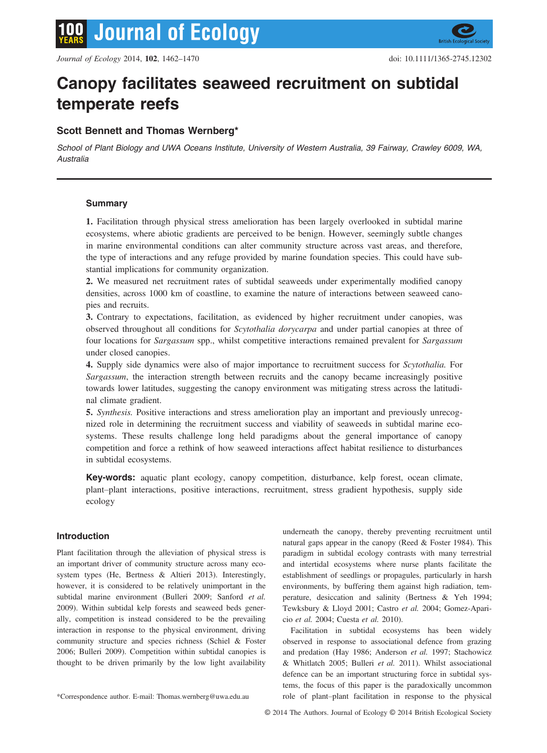

# Canopy facilitates seaweed recruitment on subtidal temperate reefs

# Scott Bennett and Thomas Wernberg\*

School of Plant Biology and UWA Oceans Institute, University of Western Australia, 39 Fairway, Crawley 6009, WA, Australia

# Summary

1. Facilitation through physical stress amelioration has been largely overlooked in subtidal marine ecosystems, where abiotic gradients are perceived to be benign. However, seemingly subtle changes in marine environmental conditions can alter community structure across vast areas, and therefore, the type of interactions and any refuge provided by marine foundation species. This could have substantial implications for community organization.

2. We measured net recruitment rates of subtidal seaweeds under experimentally modified canopy densities, across 1000 km of coastline, to examine the nature of interactions between seaweed canopies and recruits.

3. Contrary to expectations, facilitation, as evidenced by higher recruitment under canopies, was observed throughout all conditions for Scytothalia dorycarpa and under partial canopies at three of four locations for *Sargassum* spp., whilst competitive interactions remained prevalent for *Sargassum* under closed canopies.

4. Supply side dynamics were also of major importance to recruitment success for Scytothalia. For Sargassum, the interaction strength between recruits and the canopy became increasingly positive towards lower latitudes, suggesting the canopy environment was mitigating stress across the latitudinal climate gradient.

5. Synthesis. Positive interactions and stress amelioration play an important and previously unrecognized role in determining the recruitment success and viability of seaweeds in subtidal marine ecosystems. These results challenge long held paradigms about the general importance of canopy competition and force a rethink of how seaweed interactions affect habitat resilience to disturbances in subtidal ecosystems.

Key-words: aquatic plant ecology, canopy competition, disturbance, kelp forest, ocean climate, plant–plant interactions, positive interactions, recruitment, stress gradient hypothesis, supply side ecology

# Introduction

Plant facilitation through the alleviation of physical stress is an important driver of community structure across many ecosystem types (He, Bertness & Altieri 2013). Interestingly, however, it is considered to be relatively unimportant in the subtidal marine environment (Bulleri 2009; Sanford et al. 2009). Within subtidal kelp forests and seaweed beds generally, competition is instead considered to be the prevailing interaction in response to the physical environment, driving community structure and species richness (Schiel & Foster 2006; Bulleri 2009). Competition within subtidal canopies is thought to be driven primarily by the low light availability

underneath the canopy, thereby preventing recruitment until natural gaps appear in the canopy (Reed & Foster 1984). This paradigm in subtidal ecology contrasts with many terrestrial and intertidal ecosystems where nurse plants facilitate the establishment of seedlings or propagules, particularly in harsh environments, by buffering them against high radiation, temperature, desiccation and salinity (Bertness & Yeh 1994; Tewksbury & Lloyd 2001; Castro et al. 2004; Gomez-Aparicio et al. 2004; Cuesta et al. 2010).

Facilitation in subtidal ecosystems has been widely observed in response to associational defence from grazing and predation (Hay 1986; Anderson et al. 1997; Stachowicz & Whitlatch 2005; Bulleri et al. 2011). Whilst associational defence can be an important structuring force in subtidal systems, the focus of this paper is the paradoxically uncommon \*Correspondence author. E-mail: Thomas.wernberg@uwa.edu.au role of plant–plant facilitation in response to the physical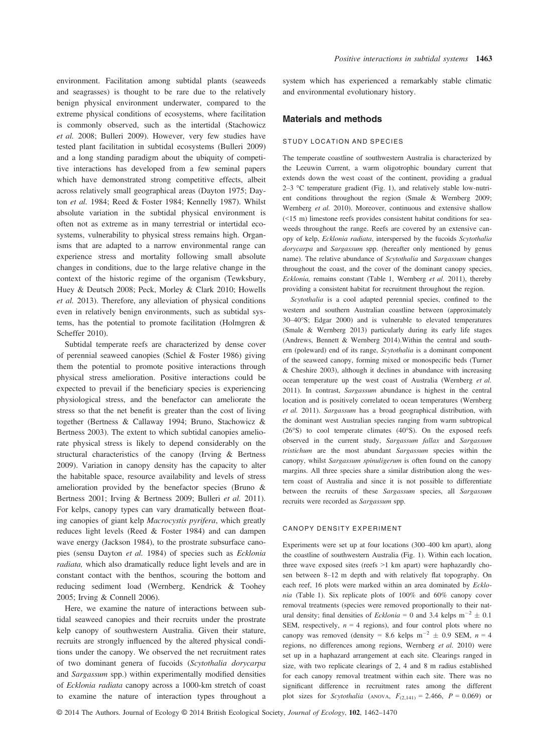environment. Facilitation among subtidal plants (seaweeds and seagrasses) is thought to be rare due to the relatively benign physical environment underwater, compared to the extreme physical conditions of ecosystems, where facilitation is commonly observed, such as the intertidal (Stachowicz et al. 2008; Bulleri 2009). However, very few studies have tested plant facilitation in subtidal ecosystems (Bulleri 2009) and a long standing paradigm about the ubiquity of competitive interactions has developed from a few seminal papers which have demonstrated strong competitive effects, albeit across relatively small geographical areas (Dayton 1975; Dayton et al. 1984; Reed & Foster 1984; Kennelly 1987). Whilst absolute variation in the subtidal physical environment is often not as extreme as in many terrestrial or intertidal ecosystems, vulnerability to physical stress remains high. Organisms that are adapted to a narrow environmental range can experience stress and mortality following small absolute changes in conditions, due to the large relative change in the context of the historic regime of the organism (Tewksbury, Huey & Deutsch 2008; Peck, Morley & Clark 2010; Howells et al. 2013). Therefore, any alleviation of physical conditions even in relatively benign environments, such as subtidal systems, has the potential to promote facilitation (Holmgren & Scheffer 2010).

Subtidal temperate reefs are characterized by dense cover of perennial seaweed canopies (Schiel & Foster 1986) giving them the potential to promote positive interactions through physical stress amelioration. Positive interactions could be expected to prevail if the beneficiary species is experiencing physiological stress, and the benefactor can ameliorate the stress so that the net benefit is greater than the cost of living together (Bertness & Callaway 1994; Bruno, Stachowicz & Bertness 2003). The extent to which subtidal canopies ameliorate physical stress is likely to depend considerably on the structural characteristics of the canopy (Irving & Bertness 2009). Variation in canopy density has the capacity to alter the habitable space, resource availability and levels of stress amelioration provided by the benefactor species (Bruno & Bertness 2001; Irving & Bertness 2009; Bulleri et al. 2011). For kelps, canopy types can vary dramatically between floating canopies of giant kelp Macrocystis pyrifera, which greatly reduces light levels (Reed & Foster 1984) and can dampen wave energy (Jackson 1984), to the prostrate subsurface canopies (sensu Dayton et al. 1984) of species such as Ecklonia radiata, which also dramatically reduce light levels and are in constant contact with the benthos, scouring the bottom and reducing sediment load (Wernberg, Kendrick & Toohey 2005; Irving & Connell 2006).

Here, we examine the nature of interactions between subtidal seaweed canopies and their recruits under the prostrate kelp canopy of southwestern Australia. Given their stature, recruits are strongly influenced by the altered physical conditions under the canopy. We observed the net recruitment rates of two dominant genera of fucoids (Scytothalia dorycarpa and Sargassum spp.) within experimentally modified densities of Ecklonia radiata canopy across a 1000-km stretch of coast to examine the nature of interaction types throughout a

system which has experienced a remarkably stable climatic and environmental evolutionary history.

## Materials and methods

## STUDY LOCATION AND SPECIES

The temperate coastline of southwestern Australia is characterized by the Leeuwin Current, a warm oligotrophic boundary current that extends down the west coast of the continent, providing a gradual  $2-3$  °C temperature gradient (Fig. 1), and relatively stable low-nutrient conditions throughout the region (Smale & Wernberg 2009; Wernberg *et al.* 2010). Moreover, continuous and extensive shallow (<15 m) limestone reefs provides consistent habitat conditions for seaweeds throughout the range. Reefs are covered by an extensive canopy of kelp, Ecklonia radiata, interspersed by the fucoids Scytothalia dorycarpa and Sargassum spp. (hereafter only mentioned by genus name). The relative abundance of Scytothalia and Sargassum changes throughout the coast, and the cover of the dominant canopy species, Ecklonia, remains constant (Table 1, Wernberg et al. 2011), thereby providing a consistent habitat for recruitment throughout the region.

Scytothalia is a cool adapted perennial species, confined to the western and southern Australian coastline between (approximately 30–40°S; Edgar 2000) and is vulnerable to elevated temperatures (Smale & Wernberg 2013) particularly during its early life stages (Andrews, Bennett & Wernberg 2014).Within the central and southern (poleward) end of its range, Scytothalia is a dominant component of the seaweed canopy, forming mixed or monospecific beds (Turner & Cheshire 2003), although it declines in abundance with increasing ocean temperature up the west coast of Australia (Wernberg et al. 2011). In contrast, Sargassum abundance is highest in the central location and is positively correlated to ocean temperatures (Wernberg et al. 2011). Sargassum has a broad geographical distribution, with the dominant west Australian species ranging from warm subtropical (26°S) to cool temperate climates (40°S). On the exposed reefs observed in the current study, Sargassum fallax and Sargassum tristichum are the most abundant Sargassum species within the canopy, whilst Sargassum spinuligerum is often found on the canopy margins. All three species share a similar distribution along the western coast of Australia and since it is not possible to differentiate between the recruits of these Sargassum species, all Sargassum recruits were recorded as Sargassum spp.

#### CANOPY DENSITY EXPERIMENT

Experiments were set up at four locations (300–400 km apart), along the coastline of southwestern Australia (Fig. 1). Within each location, three wave exposed sites (reefs >1 km apart) were haphazardly chosen between 8–12 m depth and with relatively flat topography. On each reef, 16 plots were marked within an area dominated by Ecklonia (Table 1). Six replicate plots of 100% and 60% canopy cover removal treatments (species were removed proportionally to their natural density; final densities of *Ecklonia* = 0 and 3.4 kelps  $m^{-2} \pm 0.1$ SEM, respectively,  $n = 4$  regions), and four control plots where no canopy was removed (density = 8.6 kelps  $m^{-2} \pm 0.9$  SEM,  $n = 4$ regions, no differences among regions, Wernberg et al. 2010) were set up in a haphazard arrangement at each site. Clearings ranged in size, with two replicate clearings of 2, 4 and 8 m radius established for each canopy removal treatment within each site. There was no significant difference in recruitment rates among the different plot sizes for Scytothalia (ANOVA,  $F_{(2,141)} = 2.466$ ,  $P = 0.069$ ) or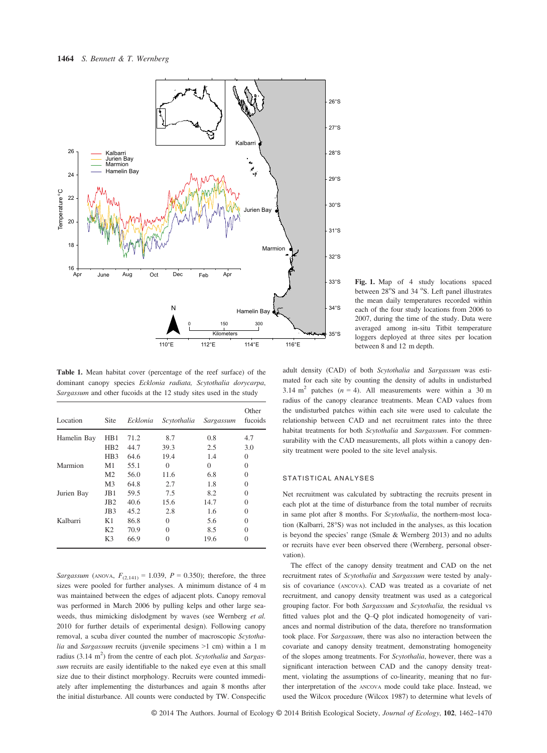

Table 1. Mean habitat cover (percentage of the reef surface) of the dominant canopy species Ecklonia radiata, Scytothalia dorycarpa, Sargassum and other fucoids at the 12 study sites used in the study

| Location    | Site            | Ecklonia | Scytothalia | Sargassum | Other<br>fucoids |
|-------------|-----------------|----------|-------------|-----------|------------------|
| Hamelin Bay | HB1             | 71.2     | 8.7         | 0.8       | 4.7              |
|             | H <sub>B2</sub> | 44.7     | 39.3        | 2.5       | 3.0              |
|             | HB <sub>3</sub> | 64.6     | 19.4        | 1.4       | $\theta$         |
| Marmion     | M1              | 55.1     | 0           | $\theta$  | $\theta$         |
|             | M2              | 56.0     | 11.6        | 6.8       | $\theta$         |
|             | M <sub>3</sub>  | 64.8     | 2.7         | 1.8       | 0                |
| Jurien Bay  | J <sub>B1</sub> | 59.5     | 7.5         | 8.2       | 0                |
|             | JB2             | 40.6     | 15.6        | 14.7      | 0                |
|             | JB3             | 45.2     | 2.8         | 1.6       | 0                |
| Kalbarri    | Κ1              | 86.8     | 0           | 5.6       | $\Omega$         |
|             | K <sub>2</sub>  | 70.9     | 0           | 8.5       | 0                |
|             | K3              | 66.9     |             | 19.6      | 0                |

Sargassum (ANOVA,  $F_{(2,141)} = 1.039$ ,  $P = 0.350$ ); therefore, the three sizes were pooled for further analyses. A minimum distance of 4 m was maintained between the edges of adjacent plots. Canopy removal was performed in March 2006 by pulling kelps and other large seaweeds, thus mimicking dislodgment by waves (see Wernberg et al. 2010 for further details of experimental design). Following canopy removal, a scuba diver counted the number of macroscopic Scytothalia and Sargassum recruits (juvenile specimens >1 cm) within a 1 m radius  $(3.14 \text{ m}^2)$  from the centre of each plot. Scytothalia and Sargassum recruits are easily identifiable to the naked eye even at this small size due to their distinct morphology. Recruits were counted immediately after implementing the disturbances and again 8 months after the initial disturbance. All counts were conducted by TW. Conspecific

Fig. 1. Map of 4 study locations spaced between 28°S and 34 °S. Left panel illustrates the mean daily temperatures recorded within each of the four study locations from 2006 to 2007, during the time of the study. Data were averaged among in-situ Titbit temperature loggers deployed at three sites per location between 8 and 12 m depth.

adult density (CAD) of both Scytothalia and Sargassum was estimated for each site by counting the density of adults in undisturbed 3.14 m<sup>2</sup> patches ( $n = 4$ ). All measurements were within a 30 m radius of the canopy clearance treatments. Mean CAD values from the undisturbed patches within each site were used to calculate the relationship between CAD and net recruitment rates into the three habitat treatments for both Scytothalia and Sargassum. For commensurability with the CAD measurements, all plots within a canopy density treatment were pooled to the site level analysis.

## STATISTICAL ANALYSES

Net recruitment was calculated by subtracting the recruits present in each plot at the time of disturbance from the total number of recruits in same plot after 8 months. For Scytothalia, the northern-most location (Kalbarri, 28°S) was not included in the analyses, as this location is beyond the species' range (Smale & Wernberg 2013) and no adults or recruits have ever been observed there (Wernberg, personal observation).

The effect of the canopy density treatment and CAD on the net recruitment rates of Scytothalia and Sargassum were tested by analysis of covariance (ANCOVA). CAD was treated as a covariate of net recruitment, and canopy density treatment was used as a categorical grouping factor. For both Sargassum and Scytothalia, the residual vs fitted values plot and the Q–Q plot indicated homogeneity of variances and normal distribution of the data, therefore no transformation took place. For Sargassum, there was also no interaction between the covariate and canopy density treatment, demonstrating homogeneity of the slopes among treatments. For Scytothalia, however, there was a significant interaction between CAD and the canopy density treatment, violating the assumptions of co-linearity, meaning that no further interpretation of the ANCOVA mode could take place. Instead, we used the Wilcox procedure (Wilcox 1987) to determine what levels of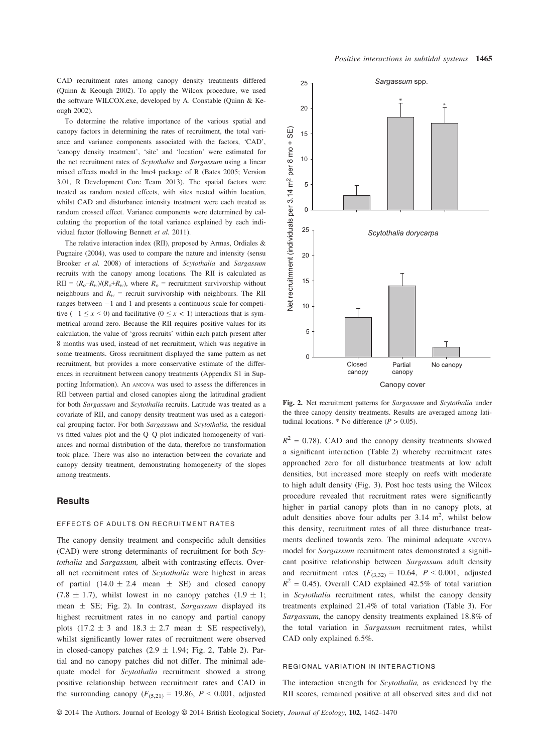CAD recruitment rates among canopy density treatments differed (Quinn & Keough 2002). To apply the Wilcox procedure, we used the software WILCOX.exe, developed by A. Constable (Quinn & Keough 2002).

To determine the relative importance of the various spatial and canopy factors in determining the rates of recruitment, the total variance and variance components associated with the factors, 'CAD', 'canopy density treatment', 'site' and 'location' were estimated for the net recruitment rates of Scytothalia and Sargassum using a linear mixed effects model in the lme4 package of R (Bates 2005; Version 3.01, R\_Development\_Core\_Team 2013). The spatial factors were treated as random nested effects, with sites nested within location, whilst CAD and disturbance intensity treatment were each treated as random crossed effect. Variance components were determined by calculating the proportion of the total variance explained by each individual factor (following Bennett et al. 2011).

The relative interaction index (RII), proposed by Armas, Ordiales & Pugnaire (2004), was used to compare the nature and intensity (sensu Brooker et al. 2008) of interactions of Scytothalia and Sargassum recruits with the canopy among locations. The RII is calculated as  $RII = (R_o - R_w)/(R_o + R_w)$ , where  $R_o$  = recruitment survivorship without neighbours and  $R_w$  = recruit survivorship with neighbours. The RII ranges between  $-1$  and 1 and presents a continuous scale for competitive  $(-1 \le x \le 0)$  and facilitative  $(0 \le x < 1)$  interactions that is symmetrical around zero. Because the RII requires positive values for its calculation, the value of 'gross recruits' within each patch present after 8 months was used, instead of net recruitment, which was negative in some treatments. Gross recruitment displayed the same pattern as net recruitment, but provides a more conservative estimate of the differences in recruitment between canopy treatments (Appendix S1 in Supporting Information). An ANCOVA was used to assess the differences in RII between partial and closed canopies along the latitudinal gradient for both Sargassum and Scytothalia recruits. Latitude was treated as a covariate of RII, and canopy density treatment was used as a categorical grouping factor. For both Sargassum and Scytothalia, the residual vs fitted values plot and the Q–Q plot indicated homogeneity of variances and normal distribution of the data, therefore no transformation took place. There was also no interaction between the covariate and canopy density treatment, demonstrating homogeneity of the slopes among treatments.

### **Results**

## EFFECTS OF ADULTS ON RECRUITMENT RATES

The canopy density treatment and conspecific adult densities (CAD) were strong determinants of recruitment for both Scytothalia and Sargassum, albeit with contrasting effects. Overall net recruitment rates of Scytothalia were highest in areas of partial  $(14.0 \pm 2.4 \text{ mean } \pm \text{ SE})$  and closed canopy  $(7.8 \pm 1.7)$ , whilst lowest in no canopy patches  $(1.9 \pm 1;$ mean  $\pm$  SE; Fig. 2). In contrast, Sargassum displayed its highest recruitment rates in no canopy and partial canopy plots (17.2  $\pm$  3 and 18.3  $\pm$  2.7 mean  $\pm$  SE respectively), whilst significantly lower rates of recruitment were observed in closed-canopy patches  $(2.9 \pm 1.94;$  Fig. 2, Table 2). Partial and no canopy patches did not differ. The minimal adequate model for Scytothalia recruitment showed a strong positive relationship between recruitment rates and CAD in the surrounding canopy  $(F_{(5,21)} = 19.86, P < 0.001,$  adjusted



Fig. 2. Net recruitment patterns for Sargassum and Scytothalia under the three canopy density treatments. Results are averaged among latitudinal locations. \* No difference ( $P > 0.05$ ).

 $R^2 = 0.78$ ). CAD and the canopy density treatments showed a significant interaction (Table 2) whereby recruitment rates approached zero for all disturbance treatments at low adult densities, but increased more steeply on reefs with moderate to high adult density (Fig. 3). Post hoc tests using the Wilcox procedure revealed that recruitment rates were significantly higher in partial canopy plots than in no canopy plots, at adult densities above four adults per  $3.14 \text{ m}^2$ , whilst below this density, recruitment rates of all three disturbance treatments declined towards zero. The minimal adequate ANCOVA model for Sargassum recruitment rates demonstrated a significant positive relationship between Sargassum adult density and recruitment rates  $(F_{(3,32)} = 10.64, P \le 0.001,$  adjusted  $R^2$  = 0.45). Overall CAD explained 42.5% of total variation in Scytothalia recruitment rates, whilst the canopy density treatments explained 21.4% of total variation (Table 3). For Sargassum, the canopy density treatments explained 18.8% of the total variation in Sargassum recruitment rates, whilst CAD only explained 6.5%.

#### REGIONAL VARIATION IN INTERACTIONS

The interaction strength for Scytothalia, as evidenced by the RII scores, remained positive at all observed sites and did not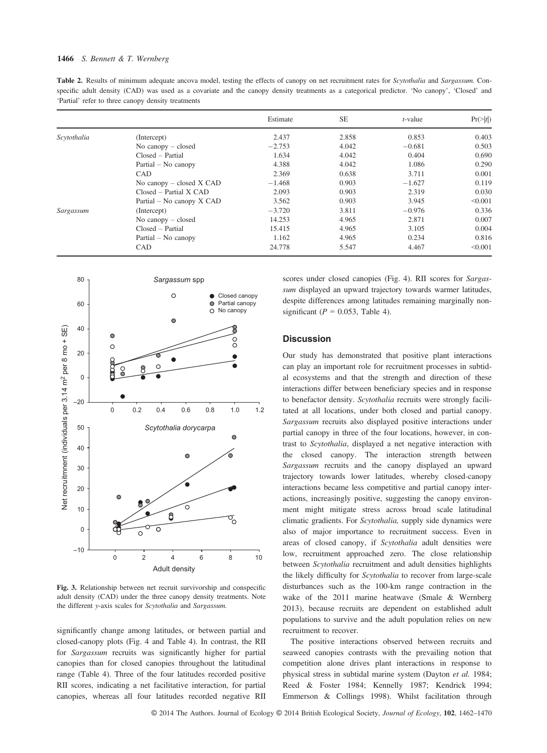#### 1466 S. Bennett & T. Wernberg

Table 2. Results of minimum adequate ancova model, testing the effects of canopy on net recruitment rates for Scytothalia and Sargassum. Conspecific adult density (CAD) was used as a covariate and the canopy density treatments as a categorical predictor. 'No canopy', 'Closed' and 'Partial' refer to three canopy density treatments

|             |                              | Estimate | <b>SE</b> | $t$ -value                                                                                                        | $Pr(>\vert t \vert)$ |
|-------------|------------------------------|----------|-----------|-------------------------------------------------------------------------------------------------------------------|----------------------|
| Scytothalia | (Intercept)                  | 2.437    | 2.858     | 0.853                                                                                                             | 0.403                |
|             | No canopy $-$ closed         | $-2.753$ | 4.042     | $-0.681$<br>0.404<br>1.086<br>3.711<br>$-1.627$<br>2.319<br>3.945<br>$-0.976$<br>2.871<br>3.105<br>0.234<br>4.467 | 0.503                |
|             | $Closed - Partial$           | 1.634    | 4.042     |                                                                                                                   | 0.690                |
|             | Partial – No canopy          | 4.388    | 4.042     |                                                                                                                   | 0.290                |
|             | CAD                          | 2.369    | 0.638     |                                                                                                                   | 0.001                |
|             | No canopy $-$ closed $X$ CAD | $-1.468$ | 0.903     |                                                                                                                   | 0.119                |
|             | $Closed - Partial X CAD$     | 2.093    | 0.903     |                                                                                                                   | 0.030                |
|             | Partial – No canopy $X$ CAD  | 3.562    | 0.903     |                                                                                                                   | < 0.001              |
| Sargassum   | (Intercept)                  | $-3.720$ | 3.811     |                                                                                                                   | 0.336                |
|             | No canopy $-$ closed         | 14.253   | 4.965     |                                                                                                                   | 0.007                |
|             | $Closed - Partial$           | 15.415   | 4.965     |                                                                                                                   | 0.004                |
|             | $Partial - No canopy$        | 1.162    | 4.965     |                                                                                                                   | 0.816                |
|             | CAD                          | 24.778   | 5.547     |                                                                                                                   | < 0.001              |



Fig. 3. Relationship between net recruit survivorship and conspecific adult density (CAD) under the three canopy density treatments. Note the different y-axis scales for Scytothalia and Sargassum.

significantly change among latitudes, or between partial and closed-canopy plots (Fig. 4 and Table 4). In contrast, the RII for Sargassum recruits was significantly higher for partial canopies than for closed canopies throughout the latitudinal range (Table 4). Three of the four latitudes recorded positive RII scores, indicating a net facilitative interaction, for partial canopies, whereas all four latitudes recorded negative RII scores under closed canopies (Fig. 4). RII scores for Sargassum displayed an upward trajectory towards warmer latitudes, despite differences among latitudes remaining marginally nonsignificant ( $P = 0.053$ , Table 4).

## **Discussion**

Our study has demonstrated that positive plant interactions can play an important role for recruitment processes in subtidal ecosystems and that the strength and direction of these interactions differ between beneficiary species and in response to benefactor density. Scytothalia recruits were strongly facilitated at all locations, under both closed and partial canopy. Sargassum recruits also displayed positive interactions under partial canopy in three of the four locations, however, in contrast to Scytothalia, displayed a net negative interaction with the closed canopy. The interaction strength between Sargassum recruits and the canopy displayed an upward trajectory towards lower latitudes, whereby closed-canopy interactions became less competitive and partial canopy interactions, increasingly positive, suggesting the canopy environment might mitigate stress across broad scale latitudinal climatic gradients. For Scytothalia, supply side dynamics were also of major importance to recruitment success. Even in areas of closed canopy, if Scytothalia adult densities were low, recruitment approached zero. The close relationship between Scytothalia recruitment and adult densities highlights the likely difficulty for Scytothalia to recover from large-scale disturbances such as the 100-km range contraction in the wake of the 2011 marine heatwave (Smale & Wernberg 2013), because recruits are dependent on established adult populations to survive and the adult population relies on new recruitment to recover.

The positive interactions observed between recruits and seaweed canopies contrasts with the prevailing notion that competition alone drives plant interactions in response to physical stress in subtidal marine system (Dayton et al. 1984; Reed & Foster 1984; Kennelly 1987; Kendrick 1994; Emmerson & Collings 1998). Whilst facilitation through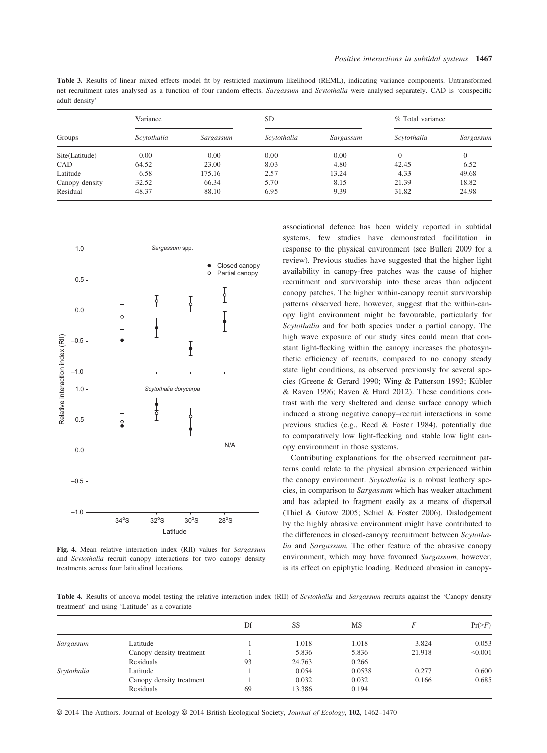Table 3. Results of linear mixed effects model fit by restricted maximum likelihood (REML), indicating variance components. Untransformed net recruitment rates analysed as a function of four random effects. Sargassum and Scytothalia were analysed separately. CAD is 'conspecific adult density'

|                | Variance    |           | <b>SD</b>   |           | % Total variance |           |
|----------------|-------------|-----------|-------------|-----------|------------------|-----------|
| Groups         | Scytothalia | Sargassum | Scytothalia | Sargassum | Scytothalia      | Sargassum |
| Site(Latitude) | 0.00        | 0.00      | 0.00        | 0.00      |                  | 0         |
| CAD            | 64.52       | 23.00     | 8.03        | 4.80      | 42.45            | 6.52      |
| Latitude       | 6.58        | 175.16    | 2.57        | 13.24     | 4.33             | 49.68     |
| Canopy density | 32.52       | 66.34     | 5.70        | 8.15      | 21.39            | 18.82     |
| Residual       | 48.37       | 88.10     | 6.95        | 9.39      | 31.82            | 24.98     |



Fig. 4. Mean relative interaction index (RII) values for Sargassum and Scytothalia recruit–canopy interactions for two canopy density treatments across four latitudinal locations.

associational defence has been widely reported in subtidal systems, few studies have demonstrated facilitation in response to the physical environment (see Bulleri 2009 for a review). Previous studies have suggested that the higher light availability in canopy-free patches was the cause of higher recruitment and survivorship into these areas than adjacent canopy patches. The higher within-canopy recruit survivorship patterns observed here, however, suggest that the within-canopy light environment might be favourable, particularly for Scytothalia and for both species under a partial canopy. The high wave exposure of our study sites could mean that constant light-flecking within the canopy increases the photosynthetic efficiency of recruits, compared to no canopy steady state light conditions, as observed previously for several species (Greene & Gerard 1990; Wing & Patterson 1993; Kübler & Raven 1996; Raven & Hurd 2012). These conditions contrast with the very sheltered and dense surface canopy which induced a strong negative canopy–recruit interactions in some previous studies (e.g., Reed & Foster 1984), potentially due to comparatively low light-flecking and stable low light canopy environment in those systems.

Contributing explanations for the observed recruitment patterns could relate to the physical abrasion experienced within the canopy environment. Scytothalia is a robust leathery species, in comparison to Sargassum which has weaker attachment and has adapted to fragment easily as a means of dispersal (Thiel & Gutow 2005; Schiel & Foster 2006). Dislodgement by the highly abrasive environment might have contributed to the differences in closed-canopy recruitment between Scytothalia and Sargassum. The other feature of the abrasive canopy environment, which may have favoured Sargassum, however, is its effect on epiphytic loading. Reduced abrasion in canopy-

Table 4. Results of ancova model testing the relative interaction index (RII) of Scytothalia and Sargassum recruits against the 'Canopy density treatment' and using 'Latitude' as a covariate

|             |                          | Df | SS     | <b>MS</b>      |        | $Pr(>=F)$ |
|-------------|--------------------------|----|--------|----------------|--------|-----------|
| Sargassum   | Latitude                 |    | 1.018  | 1.018          | 3.824  | 0.053     |
|             | Canopy density treatment |    | 5.836  | 5.836          | 21.918 | < 0.001   |
|             | Residuals                | 93 | 24.763 | 0.266          |        |           |
| Scytothalia | Latitude                 |    | 0.054  | 0.0538         | 0.277  | 0.600     |
|             | Canopy density treatment |    | 0.032  | 0.166<br>0.032 | 0.685  |           |
|             | Residuals                | 69 | 13.386 | 0.194          |        |           |

© 2014 The Authors. Journal of Ecology © 2014 British Ecological Society, Journal of Ecology, 102, 1462–1470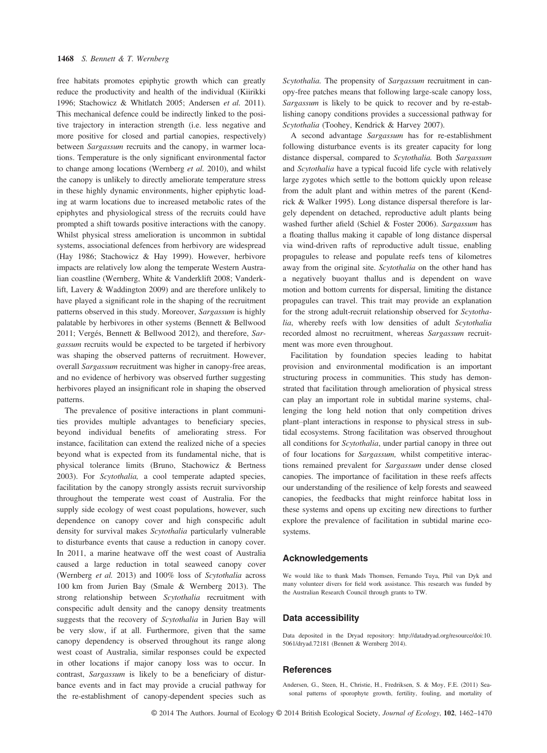free habitats promotes epiphytic growth which can greatly reduce the productivity and health of the individual (Kiirikki 1996; Stachowicz & Whitlatch 2005; Andersen et al. 2011). This mechanical defence could be indirectly linked to the positive trajectory in interaction strength (i.e. less negative and more positive for closed and partial canopies, respectively) between Sargassum recruits and the canopy, in warmer locations. Temperature is the only significant environmental factor to change among locations (Wernberg et al. 2010), and whilst the canopy is unlikely to directly ameliorate temperature stress in these highly dynamic environments, higher epiphytic loading at warm locations due to increased metabolic rates of the epiphytes and physiological stress of the recruits could have prompted a shift towards positive interactions with the canopy. Whilst physical stress amelioration is uncommon in subtidal systems, associational defences from herbivory are widespread (Hay 1986; Stachowicz & Hay 1999). However, herbivore impacts are relatively low along the temperate Western Australian coastline (Wernberg, White & Vanderklift 2008; Vanderklift, Lavery & Waddington 2009) and are therefore unlikely to have played a significant role in the shaping of the recruitment patterns observed in this study. Moreover, Sargassum is highly palatable by herbivores in other systems (Bennett & Bellwood 2011; Vergés, Bennett & Bellwood 2012), and therefore, Sargassum recruits would be expected to be targeted if herbivory was shaping the observed patterns of recruitment. However, overall Sargassum recruitment was higher in canopy-free areas, and no evidence of herbivory was observed further suggesting herbivores played an insignificant role in shaping the observed patterns.

The prevalence of positive interactions in plant communities provides multiple advantages to beneficiary species, beyond individual benefits of ameliorating stress. For instance, facilitation can extend the realized niche of a species beyond what is expected from its fundamental niche, that is physical tolerance limits (Bruno, Stachowicz & Bertness 2003). For Scytothalia, a cool temperate adapted species, facilitation by the canopy strongly assists recruit survivorship throughout the temperate west coast of Australia. For the supply side ecology of west coast populations, however, such dependence on canopy cover and high conspecific adult density for survival makes Scytothalia particularly vulnerable to disturbance events that cause a reduction in canopy cover. In 2011, a marine heatwave off the west coast of Australia caused a large reduction in total seaweed canopy cover (Wernberg et al. 2013) and 100% loss of Scytothalia across 100 km from Jurien Bay (Smale & Wernberg 2013). The strong relationship between Scytothalia recruitment with conspecific adult density and the canopy density treatments suggests that the recovery of Scytothalia in Jurien Bay will be very slow, if at all. Furthermore, given that the same canopy dependency is observed throughout its range along west coast of Australia, similar responses could be expected in other locations if major canopy loss was to occur. In contrast, Sargassum is likely to be a beneficiary of disturbance events and in fact may provide a crucial pathway for the re-establishment of canopy-dependent species such as

Scytothalia. The propensity of Sargassum recruitment in canopy-free patches means that following large-scale canopy loss, Sargassum is likely to be quick to recover and by re-establishing canopy conditions provides a successional pathway for Scytothalia (Toohey, Kendrick & Harvey 2007).

A second advantage Sargassum has for re-establishment following disturbance events is its greater capacity for long distance dispersal, compared to Scytothalia. Both Sargassum and Scytothalia have a typical fucoid life cycle with relatively large zygotes which settle to the bottom quickly upon release from the adult plant and within metres of the parent (Kendrick & Walker 1995). Long distance dispersal therefore is largely dependent on detached, reproductive adult plants being washed further afield (Schiel & Foster 2006). Sargassum has a floating thallus making it capable of long distance dispersal via wind-driven rafts of reproductive adult tissue, enabling propagules to release and populate reefs tens of kilometres away from the original site. Scytothalia on the other hand has a negatively buoyant thallus and is dependent on wave motion and bottom currents for dispersal, limiting the distance propagules can travel. This trait may provide an explanation for the strong adult-recruit relationship observed for Scytothalia, whereby reefs with low densities of adult Scytothalia recorded almost no recruitment, whereas Sargassum recruitment was more even throughout.

Facilitation by foundation species leading to habitat provision and environmental modification is an important structuring process in communities. This study has demonstrated that facilitation through amelioration of physical stress can play an important role in subtidal marine systems, challenging the long held notion that only competition drives plant–plant interactions in response to physical stress in subtidal ecosystems. Strong facilitation was observed throughout all conditions for Scytothalia, under partial canopy in three out of four locations for Sargassum, whilst competitive interactions remained prevalent for Sargassum under dense closed canopies. The importance of facilitation in these reefs affects our understanding of the resilience of kelp forests and seaweed canopies, the feedbacks that might reinforce habitat loss in these systems and opens up exciting new directions to further explore the prevalence of facilitation in subtidal marine ecosystems.

#### Acknowledgements

We would like to thank Mads Thomsen, Fernando Tuya, Phil van Dyk and many volunteer divers for field work assistance. This research was funded by the Australian Research Council through grants to TW.

#### Data accessibility

Data deposited in the Dryad repository: http://datadryad.org/resource/doi:10. 5061/dryad.72181 (Bennett & Wernberg 2014).

### **References**

Andersen, G., Steen, H., Christie, H., Fredriksen, S. & Moy, F.E. (2011) Seasonal patterns of sporophyte growth, fertility, fouling, and mortality of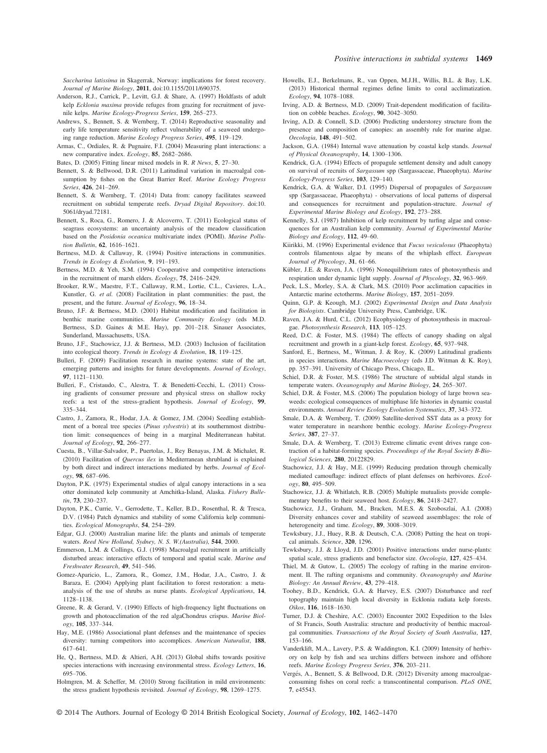Saccharina latissima in Skagerrak, Norway: implications for forest recovery. Journal of Marine Biology, 2011, doi:10.1155/2011/690375.

- Anderson, R.J., Carrick, P., Levitt, G.J. & Share, A. (1997) Holdfasts of adult kelp Ecklonia maxima provide refuges from grazing for recruitment of juvenile kelps. Marine Ecology-Progress Series, 159, 265–273.
- Andrews, S., Bennett, S. & Wernberg, T. (2014) Reproductive seasonality and early life temperature sensitivity reflect vulnerability of a seaweed undergoing range reduction. Marine Ecology Progress Series, 495, 119–129.
- Armas, C., Ordiales, R. & Pugnaire, F.I. (2004) Measuring plant interactions: a new comparative index. Ecology, 85, 2682–2686.
- Bates, D. (2005) Fitting linear mixed models in R. R News, 5, 27–30.
- Bennett, S. & Bellwood, D.R. (2011) Latitudinal variation in macroalgal consumption by fishes on the Great Barrier Reef. Marine Ecology Progress Series, 426, 241–269.
- Bennett, S. & Wernberg, T. (2014) Data from: canopy facilitates seaweed recruitment on subtidal temperate reefs. Dryad Digital Repository. doi:10. 5061/dryad.72181.
- Bennett, S., Roca, G., Romero, J. & Alcoverro, T. (2011) Ecological status of seagrass ecosystems: an uncertainty analysis of the meadow classification based on the Posidonia oceanica multivariate index (POMI). Marine Pollution Bulletin, 62, 1616–1621.
- Bertness, M.D. & Callaway, R. (1994) Positive interactions in communities. Trends in Ecology & Evolution, 9, 191–193.
- Bertness, M.D. & Yeh, S.M. (1994) Cooperative and competitive interactions in the recruitment of marsh elders. Ecology, 75, 2416–2429.
- Brooker, R.W., Maestre, F.T., Callaway, R.M., Lortie, C.L., Cavieres, L.A., Kunstler, G. et al. (2008) Facilitation in plant communities: the past, the present, and the future. Journal of Ecology, 96, 18–34.
- Bruno, J.F. & Bertness, M.D. (2001) Habitat modification and facilitation in benthic marine communities. Marine Community Ecology (eds M.D. Bertness, S.D. Gaines & M.E. Hay), pp. 201–218. Sinauer Associates, Sunderland, Massachusetts, USA.
- Bruno, J.F., Stachowicz, J.J. & Bertness, M.D. (2003) Inclusion of facilitation into ecological theory. Trends in Ecology & Evolution, 18, 119–125.
- Bulleri, F. (2009) Facilitation research in marine systems: state of the art, emerging patterns and insights for future developments. Journal of Ecology, 97, 1121–1130.
- Bulleri, F., Cristaudo, C., Alestra, T. & Benedetti-Cecchi, L. (2011) Crossing gradients of consumer pressure and physical stress on shallow rocky reefs: a test of the stress-gradient hypothesis. Journal of Ecology, 99, 335–344.
- Castro, J., Zamora, R., Hodar, J.A. & Gomez, J.M. (2004) Seedling establishment of a boreal tree species (Pinus sylvestris) at its southernmost distribution limit: consequences of being in a marginal Mediterranean habitat. Journal of Ecology, 92, 266–277.
- Cuesta, B., Villar-Salvador, P., Puertolas, J., Rey Benayas, J.M. & Michalet, R. (2010) Facilitation of Quercus ilex in Mediterranean shrubland is explained by both direct and indirect interactions mediated by herbs. Journal of Ecology, 98, 687–696.
- Dayton, P.K. (1975) Experimental studies of algal canopy interactions in a sea otter dominated kelp community at Amchitka-Island, Alaska. Fishery Bulletin, **73**, 230–237.
- Dayton, P.K., Currie, V., Gerrodette, T., Keller, B.D., Rosenthal, R. & Tresca, D.V. (1984) Patch dynamics and stability of some California kelp communities. Ecological Monographs, 54, 254–289.
- Edgar, G.J. (2000) Australian marine life: the plants and animals of temperate waters. Reed New Holland, Sydney, N. S. W.(Australia), 544, 2000.
- Emmerson, L.M. & Collings, G.J. (1998) Macroalgal recruitment in artificially disturbed areas: interactive effects of temporal and spatial scale. Marine and Freshwater Research, 49, 541–546.
- Gomez-Aparicio, L., Zamora, R., Gomez, J.M., Hodar, J.A., Castro, J. & Baraza, E. (2004) Applying plant facilitation to forest restoration: a metaanalysis of the use of shrubs as nurse plants. Ecological Applications, 14, 1128–1138.
- Greene, R. & Gerard, V. (1990) Effects of high-frequency light fluctuations on growth and photoacclimation of the red algaChondrus crispus. Marine Biology, 105, 337–344.
- Hay, M.E. (1986) Associational plant defenses and the maintenance of species diversity: turning competitors into accomplices. American Naturalist, 188, 617–641.
- He, Q., Bertness, M.D. & Altieri, A.H. (2013) Global shifts towards positive species interactions with increasing environmental stress. Ecology Letters, 16, 695–706.
- Holmgren, M. & Scheffer, M. (2010) Strong facilitation in mild environments: the stress gradient hypothesis revisited. Journal of Ecology, 98, 1269–1275.
- Howells, E.J., Berkelmans, R., van Oppen, M.J.H., Willis, B.L. & Bay, L.K. (2013) Historical thermal regimes define limits to coral acclimatization. Ecology, 94, 1078–1088.
- Irving, A.D. & Bertness, M.D. (2009) Trait-dependent modification of facilitation on cobble beaches. Ecology, 90, 3042–3050.
- Irving, A.D. & Connell, S.D. (2006) Predicting understorey structure from the presence and composition of canopies: an assembly rule for marine algae. Oecologia, 148, 491–502.
- Jackson, G.A. (1984) Internal wave attenuation by coastal kelp stands. Journal of Physical Oceanography, 14, 1300–1306.
- Kendrick, G.A. (1994) Effects of propagule settlement density and adult canopy on survival of recruits of Sargassum spp (Sargassaceae, Phaeophyta). Marine Ecology-Progress Series, 103, 129–140.
- Kendrick, G.A. & Walker, D.I. (1995) Dispersal of propagules of Sargassum spp (Sargassaceae, Phaeophyta) - observations of local patterns of dispersal and consequences for recruitment and population-structure. Journal of Experimental Marine Biology and Ecology, 192, 273–288.
- Kennelly, S.J. (1987) Inhibition of kelp recruitment by turfing algae and consequences for an Australian kelp community. Journal of Experimental Marine Biology and Ecology, 112, 49–60.
- Kiirikki, M. (1996) Experimental evidence that Fucus vesiculosus (Phaeophyta) controls filamentous algae by means of the whiplash effect. European Journal of Phycology, 31, 61–66.
- Kübler, J.E. & Raven, J.A. (1996) Nonequilibrium rates of photosynthesis and respiration under dynamic light supply. Journal of Phycology, 32, 963–969.
- Peck, L.S., Morley, S.A. & Clark, M.S. (2010) Poor acclimation capacities in Antarctic marine ectotherms. Marine Biology, 157, 2051–2059.
- Quinn, G.P. & Keough, M.J. (2002) Experimental Design and Data Analysis for Biologists. Cambridge University Press, Cambridge, UK.
- Raven, J.A. & Hurd, C.L. (2012) Ecophysiology of photosynthesis in macroalgae. Photosynthesis Research, 113, 105–125.
- Reed, D.C. & Foster, M.S. (1984) The effects of canopy shading on algal recruitment and growth in a giant-kelp forest. Ecology, 65, 937–948.
- Sanford, E., Bertness, M., Witman, J. & Roy, K. (2009) Latitudinal gradients in species interactions. Marine Macroecology (eds J.D. Witman & K. Roy), pp. 357–391. University of Chicago Press, Chicago, IL.
- Schiel, D.R. & Foster, M.S. (1986) The structure of subtidal algal stands in temperate waters. Oceanography and Marine Biology, 24, 265–307.
- Schiel, D.R. & Foster, M.S. (2006) The population biology of large brown seaweeds: ecological consequences of multiphase life histories in dynamic coastal environments. Annual Review Ecology Evolution Systematics, 37, 343–372.
- Smale, D.A. & Wernberg, T. (2009) Satellite-derived SST data as a proxy for water temperature in nearshore benthic ecology. Marine Ecology-Progress Series, 387, 27–37.
- Smale, D.A. & Wernberg, T. (2013) Extreme climatic event drives range contraction of a habitat-forming species. Proceedings of the Royal Society B-Biological Sciences, 280, 20122829.
- Stachowicz, J.J. & Hay, M.E. (1999) Reducing predation through chemically mediated camouflage: indirect effects of plant defenses on herbivores. Ecology, 80, 495–509.
- Stachowicz, J.J. & Whitlatch, R.B. (2005) Multiple mutualists provide complementary benefits to their seaweed host. Ecology, 86, 2418–2427.
- Stachowicz, J.J., Graham, M., Bracken, M.E.S. & Szoboszlai, A.I. (2008) Diversity enhances cover and stability of seaweed assemblages: the role of heterogeneity and time. *Ecology*, **89**, 3008–3019.
- Tewksbury, J.J., Huey, R.B. & Deutsch, C.A. (2008) Putting the heat on tropical animals. Science, 320, 1296.
- Tewksbury, J.J. & Lloyd, J.D. (2001) Positive interactions under nurse-plants: spatial scale, stress gradients and benefactor size. Oecologia, 127, 425–434.
- Thiel, M. & Gutow, L. (2005) The ecology of rafting in the marine environment. II. The rafting organisms and community. Oceanography and Marine Biology: An Annual Review, 43, 279–418.
- Toohey, B.D., Kendrick, G.A. & Harvey, E.S. (2007) Disturbance and reef topography maintain high local diversity in Ecklonia radiata kelp forests. Oikos, 116, 1618–1630.
- Turner, D.J. & Cheshire, A.C. (2003) Encounter 2002 Expedition to the Isles of St Francis, South Australia: structure and productivity of benthic macroalgal communities. Transactions of the Royal Society of South Australia, 127, 153–166.
- Vanderklift, M.A., Lavery, P.S. & Waddington, K.I. (2009) Intensity of herbivory on kelp by fish and sea urchins differs between inshore and offshore reefs. Marine Ecology Progress Series, 376, 203–211.
- Vergés, A., Bennett, S. & Bellwood, D.R. (2012) Diversity among macroalgaeconsuming fishes on coral reefs: a transcontinental comparison. PLoS ONE, 7, e45543.